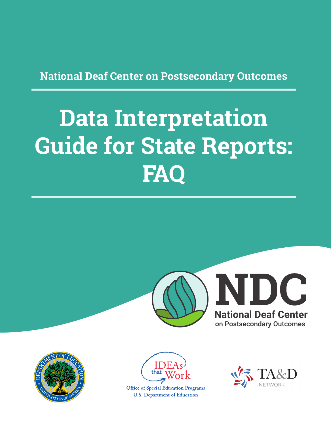**National Deaf Center on Postsecondary Outcomes**

# **Data Interpretation Guide for State Reports: FAQ**







**Office of Special Education Programs U.S. Department of Education** 

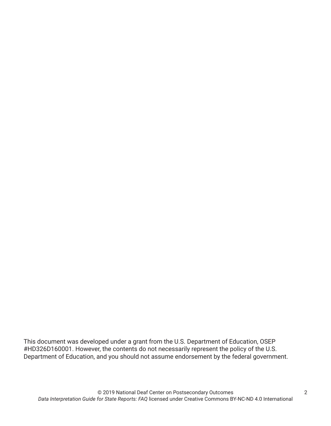This document was developed under a grant from the U.S. Department of Education, OSEP #HD326D160001. However, the contents do not necessarily represent the policy of the U.S. Department of Education, and you should not assume endorsement by the federal government.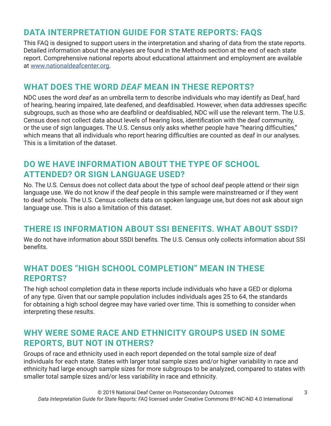# **DATA INTERPRETATION GUIDE FOR STATE REPORTS: FAQS**

This FAQ is designed to support users in the interpretation and sharing of data from the state reports. Detailed information about the analyses are found in the Methods section at the end of each state report. Comprehensive national reports about educational attainment and employment are available at www.nationaldeafcenter.org.

#### **WHAT DOES THE WORD** *DEAF* **MEAN IN THESE REPORTS?**

NDC uses the word *deaf* as an umbrella term to describe individuals who may identify as Deaf, hard of hearing, hearing impaired, late deafened, and deafdisabled. However, when data addresses specific subgroups, such as those who are deafblind or deafdisabled, NDC will use the relevant term. The U.S. Census does not collect data about levels of hearing loss, identification with the deaf community, or the use of sign languages. The U.S. Census only asks whether people have "hearing difficulties," which means that all individuals who report hearing difficulties are counted as deaf in our analyses. This is a limitation of the dataset.

## **DO WE HAVE INFORMATION ABOUT THE TYPE OF SCHOOL ATTENDED? OR SIGN LANGUAGE USED?**

No. The U.S. Census does not collect data about the type of school deaf people attend or their sign language use. We do not know if the deaf people in this sample were mainstreamed or if they went to deaf schools. The U.S. Census collects data on spoken language use, but does not ask about sign language use. This is also a limitation of this dataset.

## **THERE IS INFORMATION ABOUT SSI BENEFITS. WHAT ABOUT SSDI?**

We do not have information about SSDI benefits. The U.S. Census only collects information about SSI benefits.

#### **WHAT DOES "HIGH SCHOOL COMPLETION" MEAN IN THESE REPORTS?**

The high school completion data in these reports include individuals who have a GED or diploma of any type. Given that our sample population includes individuals ages 25 to 64, the standards for obtaining a high school degree may have varied over time. This is something to consider when interpreting these results.

## **WHY WERE SOME RACE AND ETHNICITY GROUPS USED IN SOME REPORTS, BUT NOT IN OTHERS?**

Groups of race and ethnicity used in each report depended on the total sample size of deaf individuals for each state. States with larger total sample sizes and/or higher variability in race and ethnicity had large enough sample sizes for more subgroups to be analyzed, compared to states with smaller total sample sizes and/or less variability in race and ethnicity.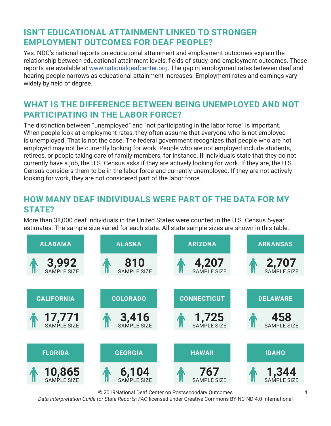# **ISN'T EDUCATIONAL ATTAINMENT LINKED TO STRONGER EMPLOYMENT OUTCOMES FOR DEAF PEOPLE?**

Yes. NDC's national reports on educational attainment and employment outcomes explain the relationship between educational attainment levels, fields of study, and employment outcomes. These reports are available at www.nationaldeafcenter.org. The gap in employment rates between deaf and hearing people narrows as educational attainment increases. Employment rates and earnings vary widely by field of degree.

# **WHAT IS THE DIFFERENCE BETWEEN BEING UNEMPLOYED AND NOT PARTICIPATING IN THE LABOR FORCE?**

The distinction between "unemployed" and "not participating in the labor force" is important. When people look at employment rates, they often assume that everyone who is not employed is unemployed. That is not the case. The federal government recognizes that people who are not employed may not be currently looking for work. People who are not employed include students, retirees, or people taking care of family members, for instance. If individuals state that they do not currently have a job, the U.S. Census asks if they are actively looking for work. If they are, the U.S. Census considers them to be in the labor force and currently unemployed. If they are not actively looking for work, they are not considered part of the labor force.

# **HOW MANY DEAF INDIVIDUALS WERE PART OF THE DATA FOR MY STATE?**

More than 38,000 deaf individuals in the United States were counted in the U.S. Census 5-year estimates. The sample size varied for each state. All state sample sizes are shown in this table.



© 2019National Deaf Center on Postsecondary Outcomes

*Data Interpretation Guide for State Reports: FAQ* licensed under Creative Commons BY-NC-ND 4.0 International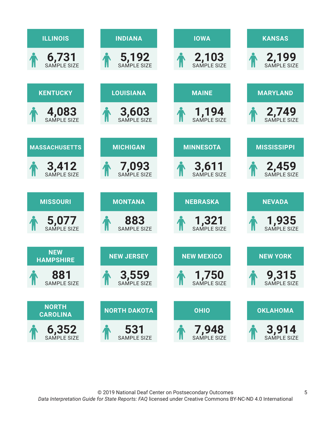| <b>ILLINOIS</b>                 | <b>INDIANA</b>              | <b>IOWA</b>                 | <b>KANSAS</b>               |
|---------------------------------|-----------------------------|-----------------------------|-----------------------------|
| $6,731$<br>SAMPLE SIZE          | 5,192                       | 2,103                       | 2,199<br>SAMPLE SIZE        |
| <b>KENTUCKY</b>                 | <b>LOUISIANA</b>            | <b>MAINE</b>                | <b>MARYLAND</b>             |
| 4,083                           | <b>3,603</b>                | 1,194                       | 2,749                       |
| <b>MASSACHUSETTS</b>            | <b>MICHIGAN</b>             | <b>MINNESOTA</b>            | <b>MISSISSIPPI</b>          |
| <b>3,412</b><br>SAMPLE SIZE     | <b>7,093</b><br>SAMPLE SIZE | <b>3,611</b><br>SAMPLE SIZE | 2,459<br>SAMPLE SIZE        |
| <b>MISSOURI</b>                 | <b>MONTANA</b>              | <b>NEBRASKA</b>             | <b>NEVADA</b>               |
| 5,077                           | 883<br><b>SAMPLE SIZE</b>   | <b>1,321</b><br>SAMPLE SIZE | <b>1,935</b><br>SAMPLE SIZE |
| <b>NEW</b><br><b>HAMPSHIRE</b>  | <b>NEW JERSEY</b>           | <b>NEW MEXICO</b>           | <b>NEW YORK</b>             |
| 881<br><b>SAMPLE SIZE</b>       | 3,559<br>SAMPLE SIZE        | 1,750                       | <b>9,315</b>                |
| <b>NORTH</b><br><b>CAROLINA</b> | <b>NORTH DAKOTA</b>         | <b>OHIO</b>                 | <b>OKLAHOMA</b>             |
| 6,352<br>SAMPLE SIZE            | 531<br><b>SAMPLE SIZE</b>   | <b>7,948</b>                | <b>3,914</b>                |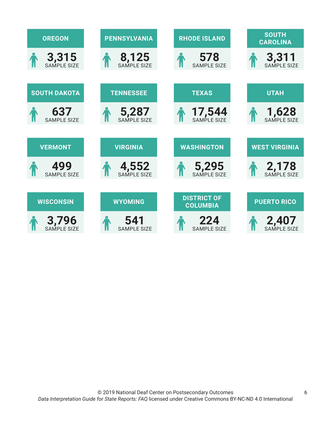| <b>OREGON</b>               | <b>PENNSYLVANIA</b>       | <b>RHODE ISLAND</b>                   | <b>SOUTH</b><br><b>CAROLINA</b> |
|-----------------------------|---------------------------|---------------------------------------|---------------------------------|
| 3,315                       | 8,125                     | 578<br><b>SAMPLE SIZE</b>             | 3,311                           |
| <b>SOUTH DAKOTA</b>         | <b>TENNESSEE</b>          | <b>TEXAS</b>                          | <b>UTAH</b>                     |
| 637<br><b>SAMPLE SIZE</b>   | 5,287                     | 17,544                                | <b>1,628</b><br>SAMPLE SIZE     |
|                             |                           |                                       |                                 |
| <b>VERMONT</b>              | <b>VIRGINIA</b>           | <b>WASHINGTON</b>                     | <b>WEST VIRGINIA</b>            |
| 499<br><b>SAMPLE SIZE</b>   | 4,552                     | 5,295                                 | 2,178                           |
|                             |                           |                                       |                                 |
| <b>WISCONSIN</b>            | <b>WYOMING</b>            | <b>DISTRICT OF</b><br><b>COLUMBIA</b> | <b>PUERTO RICO</b>              |
| <b>3,796</b><br>SAMPLE SIZE | 541<br><b>SAMPLE SIZE</b> | 224<br><b>SAMPLE SIZE</b>             | 2,407<br>SAMPLE SIZE            |